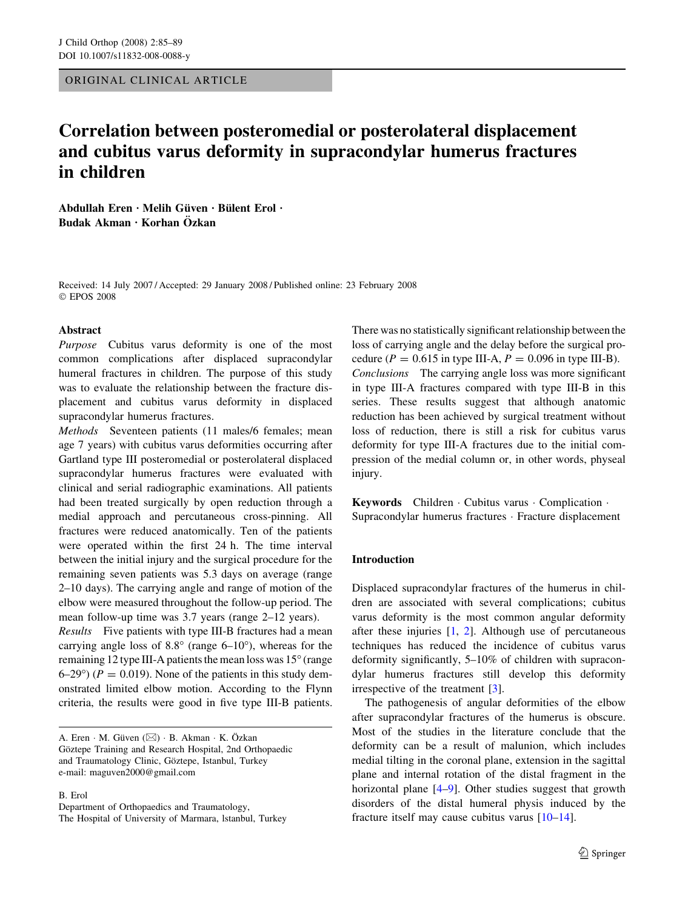ORIGINAL CLINICAL ARTICLE

# Correlation between posteromedial or posterolateral displacement and cubitus varus deformity in supracondylar humerus fractures in children

Abdullah Eren · Melih Güven · Bülent Erol ·  $Budak Akman · Korhan Özkan$ 

Received: 14 July 2007 / Accepted: 29 January 2008 / Published online: 23 February 2008 EPOS 2008

#### Abstract

Purpose Cubitus varus deformity is one of the most common complications after displaced supracondylar humeral fractures in children. The purpose of this study was to evaluate the relationship between the fracture displacement and cubitus varus deformity in displaced supracondylar humerus fractures.

Methods Seventeen patients (11 males/6 females; mean age 7 years) with cubitus varus deformities occurring after Gartland type III posteromedial or posterolateral displaced supracondylar humerus fractures were evaluated with clinical and serial radiographic examinations. All patients had been treated surgically by open reduction through a medial approach and percutaneous cross-pinning. All fractures were reduced anatomically. Ten of the patients were operated within the first 24 h. The time interval between the initial injury and the surgical procedure for the remaining seven patients was 5.3 days on average (range 2–10 days). The carrying angle and range of motion of the elbow were measured throughout the follow-up period. The mean follow-up time was 3.7 years (range 2–12 years).

Results Five patients with type III-B fractures had a mean carrying angle loss of  $8.8^{\circ}$  (range  $6-10^{\circ}$ ), whereas for the remaining 12 type III-A patients the mean loss was 15° (range  $(6-29)$ <sup>o</sup>) ( $P = 0.019$ ). None of the patients in this study demonstrated limited elbow motion. According to the Flynn criteria, the results were good in five type III-B patients.

B. Erol Department of Orthopaedics and Traumatology,

The Hospital of University of Marmara, lstanbul, Turkey

There was no statistically significant relationship between the loss of carrying angle and the delay before the surgical procedure ( $P = 0.615$  in type III-A,  $P = 0.096$  in type III-B). Conclusions The carrying angle loss was more significant in type III-A fractures compared with type III-B in this series. These results suggest that although anatomic reduction has been achieved by surgical treatment without loss of reduction, there is still a risk for cubitus varus deformity for type III-A fractures due to the initial compression of the medial column or, in other words, physeal injury.

Keywords Children · Cubitus varus · Complication · Supracondylar humerus fractures Fracture displacement

# Introduction

Displaced supracondylar fractures of the humerus in children are associated with several complications; cubitus varus deformity is the most common angular deformity after these injuries  $[1, 2]$  $[1, 2]$  $[1, 2]$  $[1, 2]$ . Although use of percutaneous techniques has reduced the incidence of cubitus varus deformity significantly, 5–10% of children with supracondylar humerus fractures still develop this deformity irrespective of the treatment [\[3](#page-3-0)].

The pathogenesis of angular deformities of the elbow after supracondylar fractures of the humerus is obscure. Most of the studies in the literature conclude that the deformity can be a result of malunion, which includes medial tilting in the coronal plane, extension in the sagittal plane and internal rotation of the distal fragment in the horizontal plane [[4–](#page-3-0)[9\]](#page-4-0). Other studies suggest that growth disorders of the distal humeral physis induced by the fracture itself may cause cubitus varus [[10–14\]](#page-4-0).

A. Eren  $\cdot$  M. Güven  $(\boxtimes) \cdot$  B. Akman  $\cdot$  K. Özkan Göztepe Training and Research Hospital, 2nd Orthopaedic and Traumatology Clinic, Göztepe, Istanbul, Turkey e-mail: maguven2000@gmail.com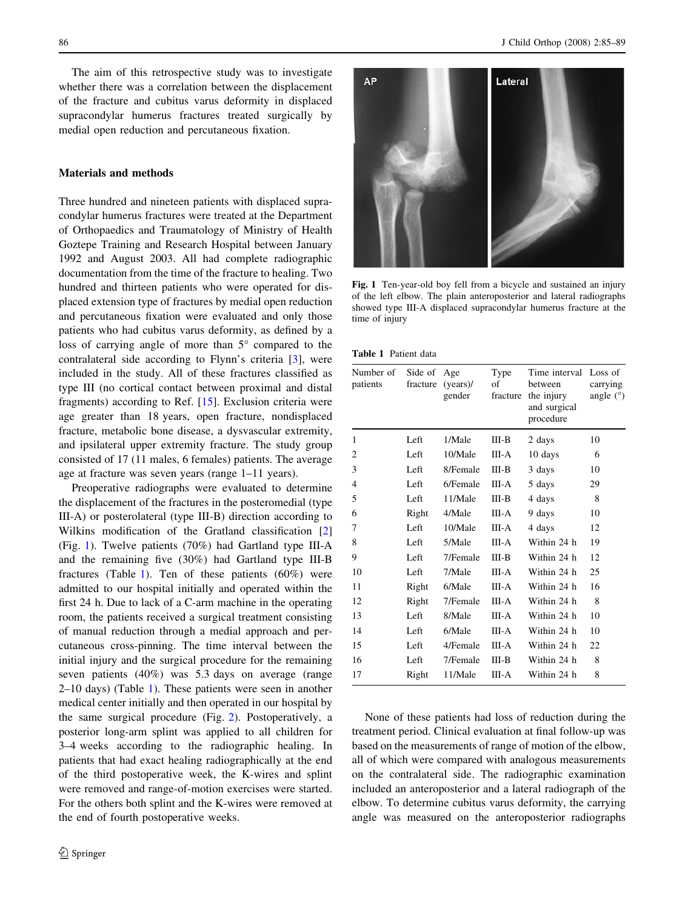The aim of this retrospective study was to investigate whether there was a correlation between the displacement of the fracture and cubitus varus deformity in displaced supracondylar humerus fractures treated surgically by medial open reduction and percutaneous fixation.

## Materials and methods

Three hundred and nineteen patients with displaced supracondylar humerus fractures were treated at the Department of Orthopaedics and Traumatology of Ministry of Health Goztepe Training and Research Hospital between January 1992 and August 2003. All had complete radiographic documentation from the time of the fracture to healing. Two hundred and thirteen patients who were operated for displaced extension type of fractures by medial open reduction and percutaneous fixation were evaluated and only those patients who had cubitus varus deformity, as defined by a loss of carrying angle of more than  $5^\circ$  compared to the contralateral side according to Flynn's criteria [\[3](#page-3-0)], were included in the study. All of these fractures classified as type III (no cortical contact between proximal and distal fragments) according to Ref. [\[15](#page-4-0)]. Exclusion criteria were age greater than 18 years, open fracture, nondisplaced fracture, metabolic bone disease, a dysvascular extremity, and ipsilateral upper extremity fracture. The study group consisted of 17 (11 males, 6 females) patients. The average age at fracture was seven years (range 1–11 years).

Preoperative radiographs were evaluated to determine the displacement of the fractures in the posteromedial (type III-A) or posterolateral (type III-B) direction according to Wilkins modification of the Gratland classification [[2\]](#page-3-0) (Fig. 1). Twelve patients (70%) had Gartland type III-A and the remaining five (30%) had Gartland type III-B fractures (Table 1). Ten of these patients  $(60\%)$  were admitted to our hospital initially and operated within the first 24 h. Due to lack of a C-arm machine in the operating room, the patients received a surgical treatment consisting of manual reduction through a medial approach and percutaneous cross-pinning. The time interval between the initial injury and the surgical procedure for the remaining seven patients (40%) was 5.3 days on average (range 2–10 days) (Table 1). These patients were seen in another medical center initially and then operated in our hospital by the same surgical procedure (Fig. [2\)](#page-2-0). Postoperatively, a posterior long-arm splint was applied to all children for 3–4 weeks according to the radiographic healing. In patients that had exact healing radiographically at the end of the third postoperative week, the K-wires and splint were removed and range-of-motion exercises were started. For the others both splint and the K-wires were removed at the end of fourth postoperative weeks.



Fig. 1 Ten-year-old boy fell from a bicycle and sustained an injury of the left elbow. The plain anteroposterior and lateral radiographs showed type III-A displaced supracondylar humerus fracture at the time of injury

| Number of Side of<br>patients | fracture | Age<br>$(years)$ /<br>gender | Type<br>of<br>fracture | Time interval Loss of<br>between<br>the injury<br>and surgical<br>procedure | carrying<br>angle $(°)$ |
|-------------------------------|----------|------------------------------|------------------------|-----------------------------------------------------------------------------|-------------------------|
| 1                             | Left     | 1/Male                       | $III-B$                | 2 days                                                                      | 10                      |
| $\overline{2}$                | Left     | 10/Male                      | III-A                  | 10 days                                                                     | 6                       |
| 3                             | Left     | 8/Female                     | III-B                  | 3 days                                                                      | 10                      |
| 4                             | Left     | 6/Female                     | III-A                  | 5 days                                                                      | 29                      |
| 5                             | Left     | 11/Male                      | III-B                  | 4 days                                                                      | 8                       |
| 6                             | Right    | 4/Male                       | III-A                  | 9 days                                                                      | 10                      |
| 7                             | Left     | 10/Male                      | III-A                  | 4 days                                                                      | 12                      |
| 8                             | Left     | 5/Male                       | III-A                  | Within 24 h                                                                 | 19                      |
| 9                             | Left     | 7/Female                     | III-B                  | Within 24 h                                                                 | 12                      |
| 10                            | Left     | 7/Male                       | III-A                  | Within 24 h                                                                 | 25                      |
| 11                            | Right    | 6/Male                       | III-A                  | Within 24 h                                                                 | 16                      |
| 12                            | Right    | 7/Female                     | III-A                  | Within 24 h                                                                 | 8                       |
| 13                            | Left     | 8/Male                       | III-A                  | Within 24 h                                                                 | 10                      |
| 14                            | Left     | 6/Male                       | III-A                  | Within 24 h                                                                 | 10                      |
| 15                            | Left     | 4/Female                     | III-A                  | Within 24 h                                                                 | 22                      |
| 16                            | Left     | 7/Female                     | III-B                  | Within 24 h                                                                 | 8                       |
| 17                            | Right    | 11/Male                      | III-A                  | Within 24 h                                                                 | 8                       |

None of these patients had loss of reduction during the treatment period. Clinical evaluation at final follow-up was based on the measurements of range of motion of the elbow, all of which were compared with analogous measurements on the contralateral side. The radiographic examination included an anteroposterior and a lateral radiograph of the elbow. To determine cubitus varus deformity, the carrying angle was measured on the anteroposterior radiographs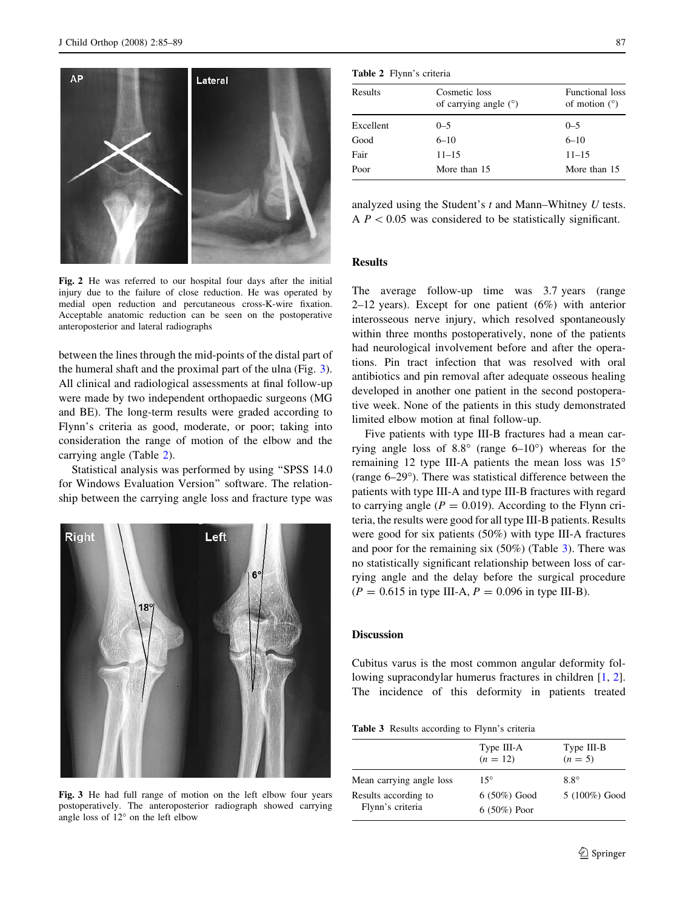<span id="page-2-0"></span>

Fig. 2 He was referred to our hospital four days after the initial injury due to the failure of close reduction. He was operated by medial open reduction and percutaneous cross-K-wire fixation. Acceptable anatomic reduction can be seen on the postoperative anteroposterior and lateral radiographs

between the lines through the mid-points of the distal part of the humeral shaft and the proximal part of the ulna (Fig. 3). All clinical and radiological assessments at final follow-up were made by two independent orthopaedic surgeons (MG and BE). The long-term results were graded according to Flynn's criteria as good, moderate, or poor; taking into consideration the range of motion of the elbow and the carrying angle (Table 2).

Statistical analysis was performed by using ''SPSS 14.0 for Windows Evaluation Version'' software. The relationship between the carrying angle loss and fracture type was



Fig. 3 He had full range of motion on the left elbow four years postoperatively. The anteroposterior radiograph showed carrying angle loss of  $12^{\circ}$  on the left elbow

|              | 전 사 |
|--------------|-----|
| ٧<br>٦<br>۰, | ۰   |

| <b>Table 2</b> Flynn's criteria |  |  |
|---------------------------------|--|--|
|---------------------------------|--|--|

| Results   | Cosmetic loss<br>of carrying angle $(°)$ | Functional loss<br>of motion $(°)$ |
|-----------|------------------------------------------|------------------------------------|
| Excellent | $0 - 5$                                  | $0 - 5$                            |
| Good      | $6 - 10$                                 | $6 - 10$                           |
| Fair      | $11 - 15$                                | $11 - 15$                          |
| Poor      | More than 15                             | More than 15                       |
|           |                                          |                                    |

analyzed using the Student's t and Mann–Whitney U tests.  $AP < 0.05$  was considered to be statistically significant.

## Results

The average follow-up time was 3.7 years (range 2–12 years). Except for one patient  $(6%)$  with anterior interosseous nerve injury, which resolved spontaneously within three months postoperatively, none of the patients had neurological involvement before and after the operations. Pin tract infection that was resolved with oral antibiotics and pin removal after adequate osseous healing developed in another one patient in the second postoperative week. None of the patients in this study demonstrated limited elbow motion at final follow-up.

Five patients with type III-B fractures had a mean carrying angle loss of  $8.8^{\circ}$  (range  $6-10^{\circ}$ ) whereas for the remaining 12 type III-A patients the mean loss was  $15^{\circ}$ (range 6–29°). There was statistical difference between the patients with type III-A and type III-B fractures with regard to carrying angle ( $P = 0.019$ ). According to the Flynn criteria, the results were good for all type III-B patients. Results were good for six patients (50%) with type III-A fractures and poor for the remaining six (50%) (Table 3). There was no statistically significant relationship between loss of carrying angle and the delay before the surgical procedure  $(P = 0.615$  in type III-A,  $P = 0.096$  in type III-B).

# **Discussion**

Cubitus varus is the most common angular deformity following supracondylar humerus fractures in children [[1,](#page-3-0) [2](#page-3-0)]. The incidence of this deformity in patients treated

Table 3 Results according to Flynn's criteria

|                                          | Type III-A<br>$(n = 12)$         | Type III-B<br>$(n = 5)$ |  |
|------------------------------------------|----------------------------------|-------------------------|--|
| Mean carrying angle loss                 | $15^{\circ}$                     | $8.8^\circ$             |  |
| Results according to<br>Flynn's criteria | $6(50\%)$ Good<br>$6(50\%)$ Poor | 5 (100%) Good           |  |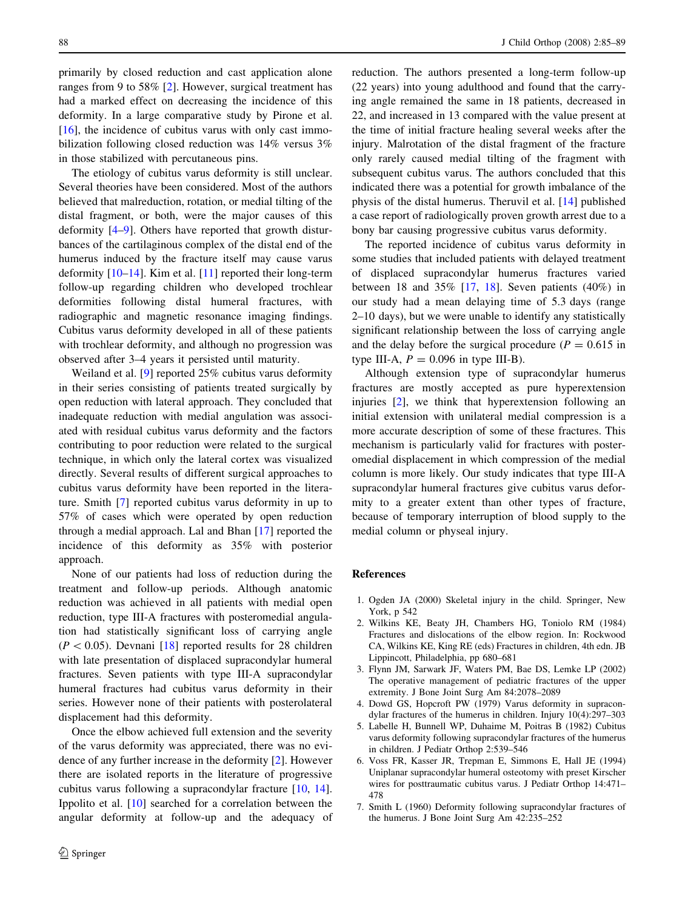<span id="page-3-0"></span>primarily by closed reduction and cast application alone ranges from 9 to 58% [2]. However, surgical treatment has had a marked effect on decreasing the incidence of this deformity. In a large comparative study by Pirone et al.  $[16]$  $[16]$ , the incidence of cubitus varus with only cast immobilization following closed reduction was 14% versus 3% in those stabilized with percutaneous pins.

The etiology of cubitus varus deformity is still unclear. Several theories have been considered. Most of the authors believed that malreduction, rotation, or medial tilting of the distal fragment, or both, were the major causes of this deformity [4–[9\]](#page-4-0). Others have reported that growth disturbances of the cartilaginous complex of the distal end of the humerus induced by the fracture itself may cause varus deformity  $[10-14]$ . Kim et al.  $[11]$  $[11]$  reported their long-term follow-up regarding children who developed trochlear deformities following distal humeral fractures, with radiographic and magnetic resonance imaging findings. Cubitus varus deformity developed in all of these patients with trochlear deformity, and although no progression was observed after 3–4 years it persisted until maturity.

Weiland et al. [\[9](#page-4-0)] reported 25% cubitus varus deformity in their series consisting of patients treated surgically by open reduction with lateral approach. They concluded that inadequate reduction with medial angulation was associated with residual cubitus varus deformity and the factors contributing to poor reduction were related to the surgical technique, in which only the lateral cortex was visualized directly. Several results of different surgical approaches to cubitus varus deformity have been reported in the literature. Smith [7] reported cubitus varus deformity in up to 57% of cases which were operated by open reduction through a medial approach. Lal and Bhan [[17\]](#page-4-0) reported the incidence of this deformity as 35% with posterior approach.

None of our patients had loss of reduction during the treatment and follow-up periods. Although anatomic reduction was achieved in all patients with medial open reduction, type III-A fractures with posteromedial angulation had statistically significant loss of carrying angle  $(P < 0.05)$ . Devnani [\[18](#page-4-0)] reported results for 28 children with late presentation of displaced supracondylar humeral fractures. Seven patients with type III-A supracondylar humeral fractures had cubitus varus deformity in their series. However none of their patients with posterolateral displacement had this deformity.

Once the elbow achieved full extension and the severity of the varus deformity was appreciated, there was no evidence of any further increase in the deformity [2]. However there are isolated reports in the literature of progressive cubitus varus following a supracondylar fracture [\[10](#page-4-0), [14](#page-4-0)]. Ippolito et al. [[10\]](#page-4-0) searched for a correlation between the angular deformity at follow-up and the adequacy of reduction. The authors presented a long-term follow-up (22 years) into young adulthood and found that the carrying angle remained the same in 18 patients, decreased in 22, and increased in 13 compared with the value present at the time of initial fracture healing several weeks after the injury. Malrotation of the distal fragment of the fracture only rarely caused medial tilting of the fragment with subsequent cubitus varus. The authors concluded that this indicated there was a potential for growth imbalance of the physis of the distal humerus. Theruvil et al. [\[14](#page-4-0)] published a case report of radiologically proven growth arrest due to a bony bar causing progressive cubitus varus deformity.

The reported incidence of cubitus varus deformity in some studies that included patients with delayed treatment of displaced supracondylar humerus fractures varied between 18 and 35% [\[17](#page-4-0), [18](#page-4-0)]. Seven patients  $(40\%)$  in our study had a mean delaying time of 5.3 days (range 2–10 days), but we were unable to identify any statistically significant relationship between the loss of carrying angle and the delay before the surgical procedure ( $P = 0.615$  in type III-A,  $P = 0.096$  in type III-B).

Although extension type of supracondylar humerus fractures are mostly accepted as pure hyperextension injuries [2], we think that hyperextension following an initial extension with unilateral medial compression is a more accurate description of some of these fractures. This mechanism is particularly valid for fractures with posteromedial displacement in which compression of the medial column is more likely. Our study indicates that type III-A supracondylar humeral fractures give cubitus varus deformity to a greater extent than other types of fracture, because of temporary interruption of blood supply to the medial column or physeal injury.

#### References

- 1. Ogden JA (2000) Skeletal injury in the child. Springer, New York, p 542
- 2. Wilkins KE, Beaty JH, Chambers HG, Toniolo RM (1984) Fractures and dislocations of the elbow region. In: Rockwood CA, Wilkins KE, King RE (eds) Fractures in children, 4th edn. JB Lippincott, Philadelphia, pp 680–681
- 3. Flynn JM, Sarwark JF, Waters PM, Bae DS, Lemke LP (2002) The operative management of pediatric fractures of the upper extremity. J Bone Joint Surg Am 84:2078–2089
- 4. Dowd GS, Hopcroft PW (1979) Varus deformity in supracondylar fractures of the humerus in children. Injury 10(4):297–303
- 5. Labelle H, Bunnell WP, Duhaime M, Poitras B (1982) Cubitus varus deformity following supracondylar fractures of the humerus in children. J Pediatr Orthop 2:539–546
- 6. Voss FR, Kasser JR, Trepman E, Simmons E, Hall JE (1994) Uniplanar supracondylar humeral osteotomy with preset Kirscher wires for posttraumatic cubitus varus. J Pediatr Orthop 14:471– 478
- 7. Smith L (1960) Deformity following supracondylar fractures of the humerus. J Bone Joint Surg Am 42:235–252